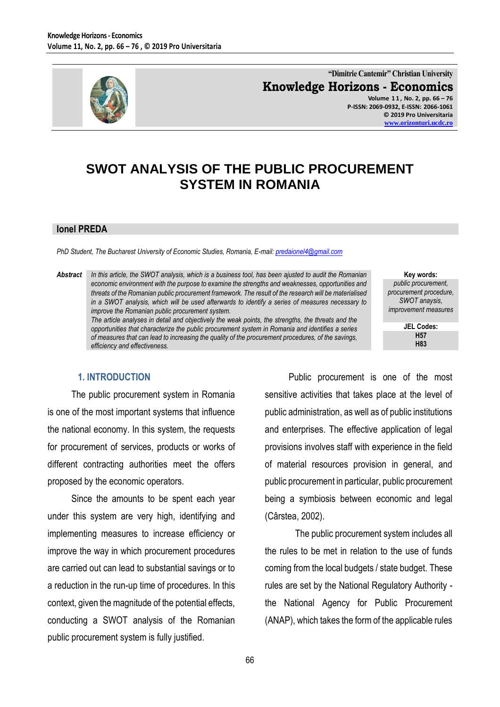

**"Dimitrie Cantemir" Christian University Knowledge Horizons - Economics Volume 1 1 , No. 2, pp. 66 – 76 P-ISSN: 2069-0932, E-ISSN: 2066-1061**

> **© 2019 Pro Universitaria [www.orizonturi.ucdc.ro](http://www.orizonturi.ucdc.ro/)**

# **SWOT ANALYSIS OF THE PUBLIC PROCUREMENT SYSTEM IN ROMANIA**

#### **Ionel PREDA**

*PhD Student, The Bucharest University of Economic Studies, Romania, E-mail: [predaionel4@gmail.com](mailto:predaionel4@gmail.com)*

*Abstract In this article, the SWOT analysis, which is a business tool, has been ajusted to audit the Romanian economic environment with the purpose to examine the strengths and weaknesses, opportunities and threats of the Romanian public procurement framework. The result of the research will be materialised in a SWOT analysis, which will be used afterwards to identify a series of measures necessary to improve the Romanian public procurement system.*

*The article analyses in detail and objectively the weak points, the strengths, the threats and the opportunities that characterize the public procurement system in Romania and identifies a series of measures that can lead to increasing the quality of the procurement procedures, of the savings, efficiency and effectiveness.*

**Key words:** *public procurement, procurement procedure, SWOT anaysis, improvement measures*

> **JEL Codes: H57 H83**

#### **1. INTRODUCTION**

The public procurement system in Romania is one of the most important systems that influence the national economy. In this system, the requests for procurement of services, products or works of different contracting authorities meet the offers proposed by the economic operators.

Since the amounts to be spent each year under this system are very high, identifying and implementing measures to increase efficiency or improve the way in which procurement procedures are carried out can lead to substantial savings or to a reduction in the run-up time of procedures. In this context, given the magnitude of the potential effects, conducting a SWOT analysis of the Romanian public procurement system is fully justified.

Public procurement is one of the most sensitive activities that takes place at the level of public administration, as well as of public institutions and enterprises. The effective application of legal provisions involves staff with experience in the field of material resources provision in general, and public procurement in particular, public procurement being a symbiosis between economic and legal (Cârstea, 2002).

The public procurement system includes all the rules to be met in relation to the use of funds coming from the local budgets / state budget. These rules are set by the National Regulatory Authority the National Agency for Public Procurement (ANAP), which takes the form of the applicable rules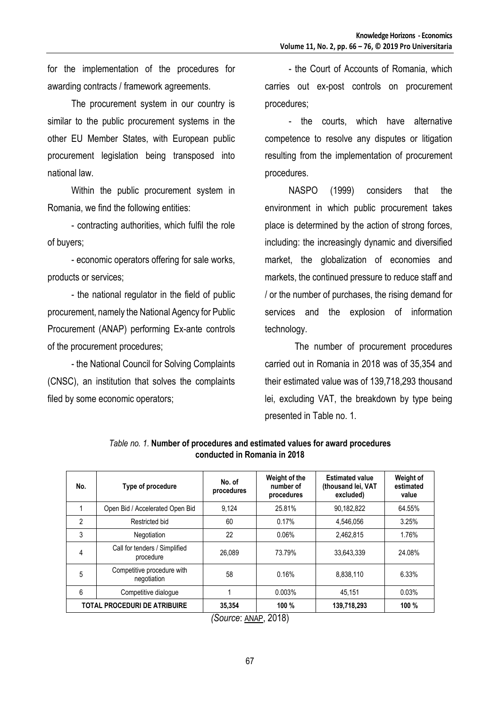for the implementation of the procedures for awarding contracts / framework agreements.

The procurement system in our country is similar to the public procurement systems in the other EU Member States, with European public procurement legislation being transposed into national law.

Within the public procurement system in Romania, we find the following entities:

- contracting authorities, which fulfil the role of buyers;

- economic operators offering for sale works, products or services;

- the national regulator in the field of public procurement, namely the National Agency for Public Procurement (ANAP) performing Ex-ante controls of the procurement procedures;

- the National Council for Solving Complaints (CNSC), an institution that solves the complaints filed by some economic operators;

- the Court of Accounts of Romania, which carries out ex-post controls on procurement procedures;

- the courts, which have alternative competence to resolve any disputes or litigation resulting from the implementation of procurement procedures.

NASPO (1999) considers that the environment in which public procurement takes place is determined by the action of strong forces, including: the increasingly dynamic and diversified market, the globalization of economies and markets, the continued pressure to reduce staff and / or the number of purchases, the rising demand for services and the explosion of information technology.

The number of procurement procedures carried out in Romania in 2018 was of 35,354 and their estimated value was of 139,718,293 thousand lei, excluding VAT, the breakdown by type being presented in Table no. 1.

| No.                                 | Type of procedure                          | No. of<br>procedures | Weight of the<br>number of<br>procedures | <b>Estimated value</b><br>(thousand lei, VAT<br>excluded) | Weight of<br>estimated<br>value |
|-------------------------------------|--------------------------------------------|----------------------|------------------------------------------|-----------------------------------------------------------|---------------------------------|
|                                     | Open Bid / Accelerated Open Bid            | 9.124                | 25.81%                                   | 90.182.822                                                | 64.55%                          |
| $\overline{2}$                      | Restricted bid                             | 60                   | 0.17%                                    | 4.546.056                                                 | 3.25%                           |
| 3                                   | Negotiation                                | 22                   | 0.06%                                    | 2.462.815                                                 | 1.76%                           |
| $\overline{4}$                      | Call for tenders / Simplified<br>procedure | 26.089               | 73.79%                                   | 33,643,339                                                | 24.08%                          |
| 5                                   | Competitive procedure with<br>negotiation  | 58                   | 0.16%                                    | 8.838.110                                                 | 6.33%                           |
| 6                                   | Competitive dialogue                       |                      | 0.003%                                   | 45.151                                                    | 0.03%                           |
| <b>TOTAL PROCEDURI DE ATRIBUIRE</b> |                                            | 35,354               | 100%                                     | 139,718,293                                               | 100%                            |

*Table no. 1.* **Number of procedures and estimated values for award procedures conducted in Romania in 2018**

*<sup>(</sup>Source*: [ANAP](http://anap.gov.ro/), 2018)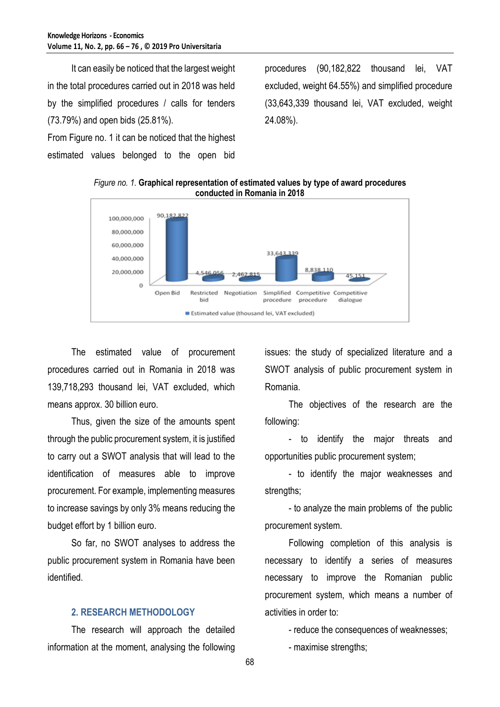It can easily be noticed that the largest weight in the total procedures carried out in 2018 was held by the simplified procedures / calls for tenders (73.79%) and open bids (25.81%). From Figure no. 1 it can be noticed that the highest

estimated values belonged to the open bid

procedures (90,182,822 thousand lei, VAT excluded, weight 64.55%) and simplified procedure (33,643,339 thousand lei, VAT excluded, weight 24.08%).





The estimated value of procurement procedures carried out in Romania in 2018 was 139,718,293 thousand lei, VAT excluded, which means approx. 30 billion euro.

Thus, given the size of the amounts spent through the public procurement system, it is justified to carry out a SWOT analysis that will lead to the identification of measures able to improve procurement. For example, implementing measures to increase savings by only 3% means reducing the budget effort by 1 billion euro.

So far, no SWOT analyses to address the public procurement system in Romania have been identified.

## **2. RESEARCH METHODOLOGY**

The research will approach the detailed information at the moment, analysing the following issues: the study of specialized literature and a SWOT analysis of public procurement system in Romania.

The objectives of the research are the following:

- to identify the major threats and opportunities public procurement system;

- to identify the major weaknesses and strengths;

- to analyze the main problems of the public procurement system.

Following completion of this analysis is necessary to identify a series of measures necessary to improve the Romanian public procurement system, which means a number of activities in order to:

- reduce the consequences of weaknesses;

- maximise strengths;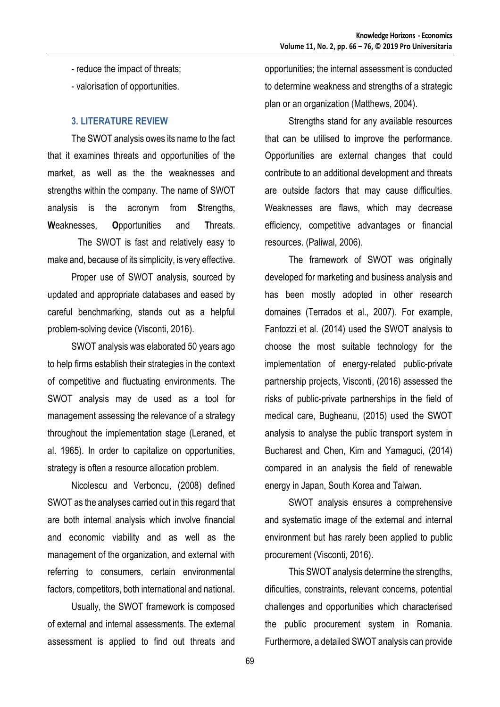- reduce the impact of threats;
- valorisation of opportunities.

#### **3. LITERATURE REVIEW**

The SWOT analysis owes its name to the fact that it examines threats and opportunities of the market, as well as the the weaknesses and strengths within the company. The name of SWOT analysis is the acronym from **S**trengths, **W**eaknesses, **O**pportunities and **T**hreats.

The SWOT is fast and relatively easy to make and, because of its simplicity, is very effective.

Proper use of SWOT analysis, sourced by updated and appropriate databases and eased by careful benchmarking, stands out as a helpful problem-solving device (Visconti, 2016).

SWOT analysis was elaborated 50 years ago to help firms establish their strategies in the context of competitive and fluctuating environments. The SWOT analysis may de used as a tool for management assessing the relevance of a strategy throughout the implementation stage (Leraned, et al. 1965). In order to capitalize on opportunities, strategy is often a resource allocation problem.

Nicolescu and Verboncu, (2008) defined SWOT as the analyses carried out in this regard that are both internal analysis which involve financial and economic viability and as well as the management of the organization, and external with referring to consumers, certain environmental factors, competitors, both international and national.

Usually, the SWOT framework is composed of external and internal assessments. The external assessment is applied to find out threats and opportunities; the internal assessment is conducted to determine weakness and strengths of a strategic plan or an organization (Matthews, 2004).

Strengths stand for any available resources that can be utilised to improve the performance. Opportunities are external changes that could contribute to an additional development and threats are outside factors that may cause difficulties. Weaknesses are flaws, which may decrease efficiency, competitive advantages or financial resources. (Paliwal, 2006).

The framework of SWOT was originally developed for marketing and business analysis and has been mostly adopted in other research domaines (Terrados et al., 2007). For example, Fantozzi et al. (2014) used the SWOT analysis to choose the most suitable technology for the implementation of energy-related public-private partnership projects, Visconti, (2016) assessed the risks of public-private partnerships in the field of medical care, Bugheanu, (2015) used the SWOT analysis to analyse the public transport system in Bucharest and Chen, Kim and Yamaguci, (2014) compared in an analysis the field of renewable energy in Japan, South Korea and Taiwan.

SWOT analysis ensures a comprehensive and systematic image of the external and internal environment but has rarely been applied to public procurement (Visconti, 2016).

This SWOT analysis determine the strengths, dificulties, constraints, relevant concerns, potential challenges and opportunities which characterised the public procurement system in Romania. Furthermore, a detailed SWOT analysis can provide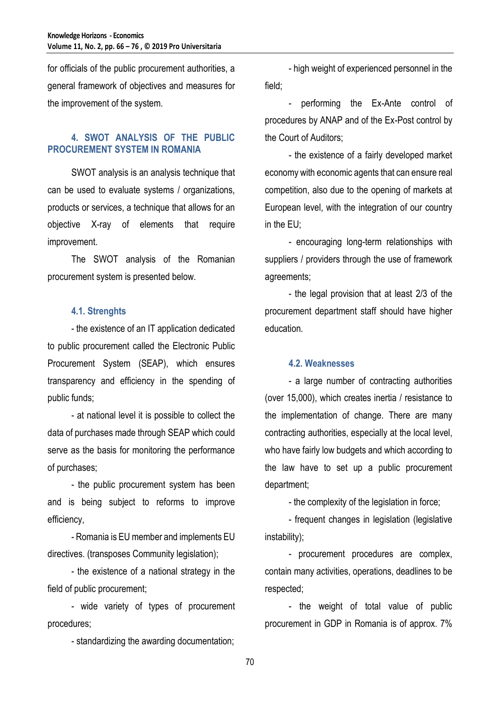for officials of the public procurement authorities, a general framework of objectives and measures for the improvement of the system.

# **4. SWOT ANALYSIS OF THE PUBLIC PROCUREMENT SYSTEM IN ROMANIA**

SWOT analysis is an analysis technique that can be used to evaluate systems / organizations, products or services, a technique that allows for an objective X-ray of elements that require improvement.

The SWOT analysis of the Romanian procurement system is presented below.

## **4.1. Strenghts**

- the existence of an IT application dedicated to public procurement called the Electronic Public Procurement System (SEAP), which ensures transparency and efficiency in the spending of public funds;

- at national level it is possible to collect the data of purchases made through SEAP which could serve as the basis for monitoring the performance of purchases;

- the public procurement system has been and is being subject to reforms to improve efficiency,

- Romania is EU member and implements EU directives. (transposes Community legislation);

- the existence of a national strategy in the field of public procurement;

- wide variety of types of procurement procedures;

- standardizing the awarding documentation;

- high weight of experienced personnel in the field;

performing the Ex-Ante control of procedures by ANAP and of the Ex-Post control by the Court of Auditors;

- the existence of a fairly developed market economy with economic agents that can ensure real competition, also due to the opening of markets at European level, with the integration of our country in the EU;

- encouraging long-term relationships with suppliers / providers through the use of framework agreements;

- the legal provision that at least 2/3 of the procurement department staff should have higher education.

## **4.2. Weaknesses**

- a large number of contracting authorities (over 15,000), which creates inertia / resistance to the implementation of change. There are many contracting authorities, especially at the local level, who have fairly low budgets and which according to the law have to set up a public procurement department;

- the complexity of the legislation in force;

- frequent changes in legislation (legislative instability);

- procurement procedures are complex, contain many activities, operations, deadlines to be respected;

- the weight of total value of public procurement in GDP in Romania is of approx. 7%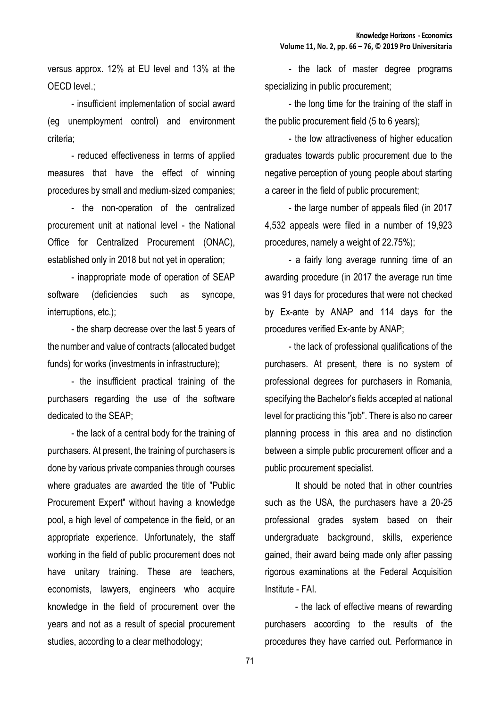versus approx. 12% at EU level and 13% at the OECD level.;

- insufficient implementation of social award (eg unemployment control) and environment criteria;

- reduced effectiveness in terms of applied measures that have the effect of winning procedures by small and medium-sized companies;

- the non-operation of the centralized procurement unit at national level - the National Office for Centralized Procurement (ONAC), established only in 2018 but not yet in operation;

- inappropriate mode of operation of SEAP software (deficiencies such as syncope, interruptions, etc.);

- the sharp decrease over the last 5 years of the number and value of contracts (allocated budget funds) for works (investments in infrastructure);

- the insufficient practical training of the purchasers regarding the use of the software dedicated to the SEAP;

- the lack of a central body for the training of purchasers. At present, the training of purchasers is done by various private companies through courses where graduates are awarded the title of "Public Procurement Expert" without having a knowledge pool, a high level of competence in the field, or an appropriate experience. Unfortunately, the staff working in the field of public procurement does not have unitary training. These are teachers, economists, lawyers, engineers who acquire knowledge in the field of procurement over the years and not as a result of special procurement studies, according to a clear methodology;

- the lack of master degree programs specializing in public procurement;

- the long time for the training of the staff in the public procurement field (5 to 6 years);

- the low attractiveness of higher education graduates towards public procurement due to the negative perception of young people about starting a career in the field of public procurement;

- the large number of appeals filed (in 2017 4,532 appeals were filed in a number of 19,923 procedures, namely a weight of 22.75%);

- a fairly long average running time of an awarding procedure (in 2017 the average run time was 91 days for procedures that were not checked by Ex-ante by ANAP and 114 days for the procedures verified Ex-ante by ANAP;

- the lack of professional qualifications of the purchasers. At present, there is no system of professional degrees for purchasers in Romania, specifying the Bachelor's fields accepted at national level for practicing this "job". There is also no career planning process in this area and no distinction between a simple public procurement officer and a public procurement specialist.

It should be noted that in other countries such as the USA, the purchasers have a 20-25 professional grades system based on their undergraduate background, skills, experience gained, their award being made only after passing rigorous examinations at the Federal Acquisition Institute - FAI.

- the lack of effective means of rewarding purchasers according to the results of the procedures they have carried out. Performance in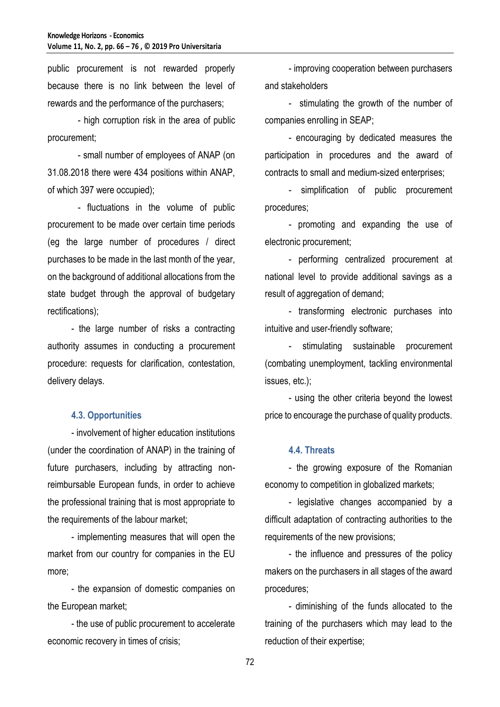public procurement is not rewarded properly because there is no link between the level of rewards and the performance of the purchasers;

- high corruption risk in the area of public procurement;

- small number of employees of ANAP (on 31.08.2018 there were 434 positions within ANAP, of which 397 were occupied);

- fluctuations in the volume of public procurement to be made over certain time periods (eg the large number of procedures / direct purchases to be made in the last month of the year, on the background of additional allocations from the state budget through the approval of budgetary rectifications);

- the large number of risks a contracting authority assumes in conducting a procurement procedure: requests for clarification, contestation, delivery delays.

## **4.3. Opportunities**

- involvement of higher education institutions (under the coordination of ANAP) in the training of future purchasers, including by attracting nonreimbursable European funds, in order to achieve the professional training that is most appropriate to the requirements of the labour market;

- implementing measures that will open the market from our country for companies in the EU more;

- the expansion of domestic companies on the European market;

- the use of public procurement to accelerate economic recovery in times of crisis;

- improving cooperation between purchasers and stakeholders

- stimulating the growth of the number of companies enrolling in SEAP;

- encouraging by dedicated measures the participation in procedures and the award of contracts to small and medium-sized enterprises;

- simplification of public procurement procedures;

- promoting and expanding the use of electronic procurement;

- performing centralized procurement at national level to provide additional savings as a result of aggregation of demand;

- transforming electronic purchases into intuitive and user-friendly software;

stimulating sustainable procurement (combating unemployment, tackling environmental issues, etc.);

- using the other criteria beyond the lowest price to encourage the purchase of quality products.

#### **4.4. Threats**

- the growing exposure of the Romanian economy to competition in globalized markets;

- legislative changes accompanied by a difficult adaptation of contracting authorities to the requirements of the new provisions;

- the influence and pressures of the policy makers on the purchasers in all stages of the award procedures;

- diminishing of the funds allocated to the training of the purchasers which may lead to the reduction of their expertise;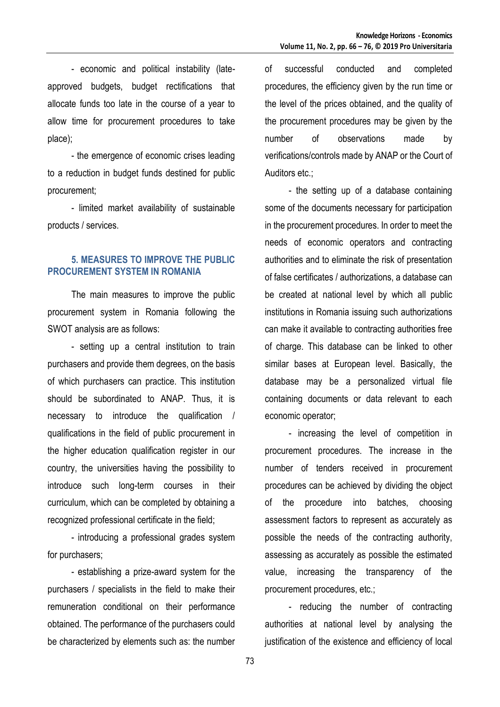- economic and political instability (lateapproved budgets, budget rectifications that allocate funds too late in the course of a year to allow time for procurement procedures to take place);

- the emergence of economic crises leading to a reduction in budget funds destined for public procurement;

- limited market availability of sustainable products / services.

# **5. MEASURES TO IMPROVE THE PUBLIC PROCUREMENT SYSTEM IN ROMANIA**

The main measures to improve the public procurement system in Romania following the SWOT analysis are as follows:

- setting up a central institution to train purchasers and provide them degrees, on the basis of which purchasers can practice. This institution should be subordinated to ANAP. Thus, it is necessary to introduce the qualification / qualifications in the field of public procurement in the higher education qualification register in our country, the universities having the possibility to introduce such long-term courses in their curriculum, which can be completed by obtaining a recognized professional certificate in the field;

- introducing a professional grades system for purchasers;

- establishing a prize-award system for the purchasers / specialists in the field to make their remuneration conditional on their performance obtained. The performance of the purchasers could be characterized by elements such as: the number

of successful conducted and completed procedures, the efficiency given by the run time or the level of the prices obtained, and the quality of the procurement procedures may be given by the number of observations made by verifications/controls made by ANAP or the Court of Auditors etc.;

- the setting up of a database containing some of the documents necessary for participation in the procurement procedures. In order to meet the needs of economic operators and contracting authorities and to eliminate the risk of presentation of false certificates / authorizations, a database can be created at national level by which all public institutions in Romania issuing such authorizations can make it available to contracting authorities free of charge. This database can be linked to other similar bases at European level. Basically, the database may be a personalized virtual file containing documents or data relevant to each economic operator;

- increasing the level of competition in procurement procedures. The increase in the number of tenders received in procurement procedures can be achieved by dividing the object of the procedure into batches, choosing assessment factors to represent as accurately as possible the needs of the contracting authority, assessing as accurately as possible the estimated value, increasing the transparency of the procurement procedures, etc.;

- reducing the number of contracting authorities at national level by analysing the justification of the existence and efficiency of local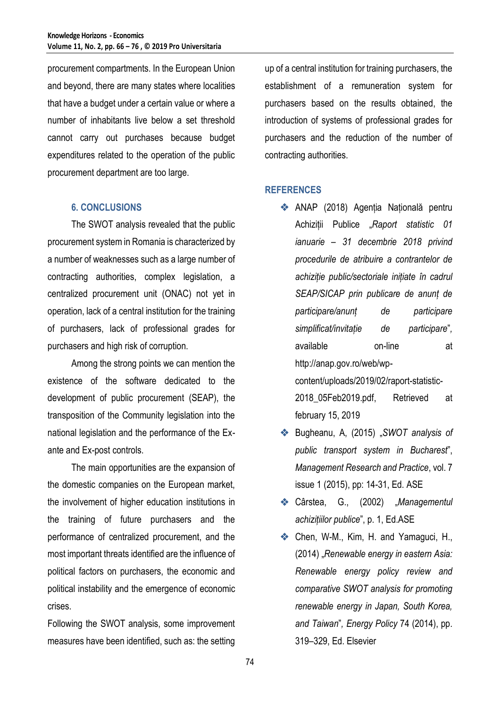procurement compartments. In the European Union and beyond, there are many states where localities that have a budget under a certain value or where a number of inhabitants live below a set threshold cannot carry out purchases because budget expenditures related to the operation of the public procurement department are too large.

# **6. CONCLUSIONS**

The SWOT analysis revealed that the public procurement system in Romania is characterized by a number of weaknesses such as a large number of contracting authorities, complex legislation, a centralized procurement unit (ONAC) not yet in operation, lack of a central institution for the training of purchasers, lack of professional grades for purchasers and high risk of corruption.

Among the strong points we can mention the existence of the software dedicated to the development of public procurement (SEAP), the transposition of the Community legislation into the national legislation and the performance of the Exante and Ex-post controls.

The main opportunities are the expansion of the domestic companies on the European market, the involvement of higher education institutions in the training of future purchasers and the performance of centralized procurement, and the most important threats identified are the influence of political factors on purchasers, the economic and political instability and the emergence of economic crises.

Following the SWOT analysis, some improvement measures have been identified, such as: the setting

up of a central institution for training purchasers, the establishment of a remuneration system for purchasers based on the results obtained, the introduction of systems of professional grades for purchasers and the reduction of the number of contracting authorities.

# **REFERENCES**

- [ANAP](http://anap.gov.ro/) (2018) Agenția Națională pentru Achiziții Publice "*Raport statistic 01 ianuarie – 31 decembrie 2018 privind procedurile de atribuire a contrantelor de achiziție public/sectoriale inițiate în cadrul SEAP/SICAP prin publicare de anunț de participare/anunț de participare simplificat/invitație de participare*"*,* available on-line at http://anap.gov.ro/web/wpcontent/uploads/2019/02/raport-statistic-2018\_05Feb2019.pdf, Retrieved at february 15, 2019
- Bugheanu, A, (2015) "*SWOT analysis of public transport system in Bucharest*", *Management Research and Practice*, vol. 7 issue 1 (2015), pp: 14-31, Ed. ASE
- ◆ Cârstea, G., (2002) "Managementul *achizițiilor publice*", p. 1, Ed.ASE
- Chen, W-M., Kim, H. and Yamaguci, H., (2014) "*Renewable energy in eastern Asia: Renewable energy policy review and comparative SWOT analysis for promoting renewable energy in Japan, South Korea, and Taiwan*"*, Energy Policy* 74 (2014), pp. 319–329, Ed. Elsevier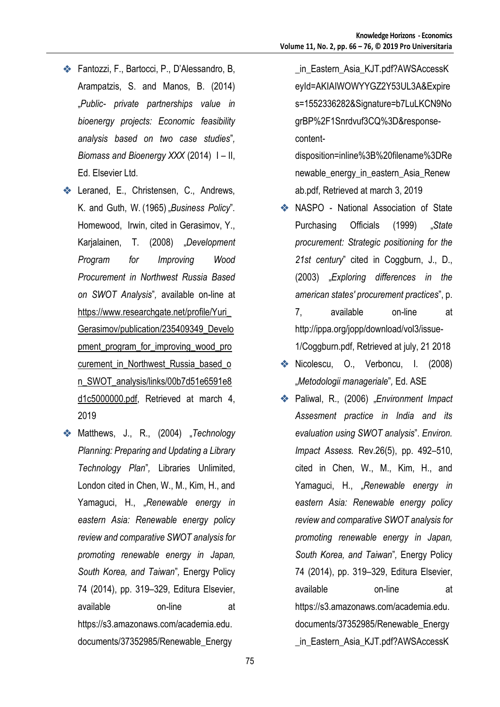- Fantozzi, F., Bartocci, P., D'Alessandro, B, Arampatzis, S. and Manos, B. (2014) "*Public- private partnerships value in bioenergy projects: Economic feasibility analysis based on two case studies*"*, Biomass and Bioenergy XXX* (2014) I – II, Ed. Elsevier Ltd.
- **E.**, Christensen, C., Andrews, K. and Guth, W. (1965) "Business Policy". Homewood, Irwin, cited in Gerasimov, Y., Karjalainen, T. (2008) "*Development Program for Improving Wood Procurement in Northwest Russia Based on SWOT Analysis*"*,* available on-line at [https://www.researchgate.net/profile/Yuri\\_](https://www.researchgate.net/profile/Yuri_Gerasimov/publication/235409349_Development_program_for_improving_wood_procurement_in_Northwest_Russia_based_on_SWOT_analysis/links/00b7d51e6591e8d1c5000000.pdf) [Gerasimov/publication/235409349\\_Develo](https://www.researchgate.net/profile/Yuri_Gerasimov/publication/235409349_Development_program_for_improving_wood_procurement_in_Northwest_Russia_based_on_SWOT_analysis/links/00b7d51e6591e8d1c5000000.pdf) pment program for improving wood pro [curement\\_in\\_Northwest\\_Russia\\_based\\_o](https://www.researchgate.net/profile/Yuri_Gerasimov/publication/235409349_Development_program_for_improving_wood_procurement_in_Northwest_Russia_based_on_SWOT_analysis/links/00b7d51e6591e8d1c5000000.pdf) [n\\_SWOT\\_analysis/links/00b7d51e6591e8](https://www.researchgate.net/profile/Yuri_Gerasimov/publication/235409349_Development_program_for_improving_wood_procurement_in_Northwest_Russia_based_on_SWOT_analysis/links/00b7d51e6591e8d1c5000000.pdf) [d1c5000000.pdf,](https://www.researchgate.net/profile/Yuri_Gerasimov/publication/235409349_Development_program_for_improving_wood_procurement_in_Northwest_Russia_based_on_SWOT_analysis/links/00b7d51e6591e8d1c5000000.pdf) Retrieved at march 4, 2019
- **Matthews, J., R., (2004)** Technology *Planning: Preparing and Updating a Library Technology Plan*"*,* Libraries Unlimited, London cited in Chen, W., M., Kim, H., and Yamaguci, H., "*Renewable energy in eastern Asia: Renewable energy policy review and comparative SWOT analysis for promoting renewable energy in Japan, South Korea, and Taiwan*"*,* Energy Policy 74 (2014), pp. 319–329, Editura Elsevier, available on-line at https://s3.amazonaws.com/academia.edu. documents/37352985/Renewable\_Energy

\_in\_Eastern\_Asia\_KJT.pdf?AWSAccessK eyId=AKIAIWOWYYGZ2Y53UL3A&Expire s=1552336282&Signature=b7LuLKCN9No grBP%2F1Snrdvuf3CQ%3D&responsecontent-

disposition=inline%3B%20filename%3DRe newable\_energy\_in\_eastern\_Asia\_Renew ab.pdf, Retrieved at march 3, 2019

- NASPO National Association of State Purchasing Officials (1999) "*State procurement: Strategic positioning for the 21st century*" cited in Coggburn, J., D., (2003) "*Exploring differences in the american states' procurement practices*", p. 7, available on-line at http://ippa.org/jopp/download/vol3/issue-1/Coggburn.pdf, Retrieved at july, 21 2018
- Nicolescu, O., Verboncu, I. (2008) "*Metodologii manageriale*"*,* Ed. ASE
- Paliwal, R., (2006) "*Environment Impact Assesment practice in India and its evaluation using SWOT analysis*". *Environ. Impact Assess.* Rev.26(5), pp. 492–510, cited in Chen, W., M., Kim, H., and Yamaguci, H., "*Renewable energy in eastern Asia: Renewable energy policy review and comparative SWOT analysis for promoting renewable energy in Japan, South Korea, and Taiwan*"*,* Energy Policy 74 (2014), pp. 319–329, Editura Elsevier, available on-line at https://s3.amazonaws.com/academia.edu. documents/37352985/Renewable\_Energy \_in\_Eastern\_Asia\_KJT.pdf?AWSAccessK